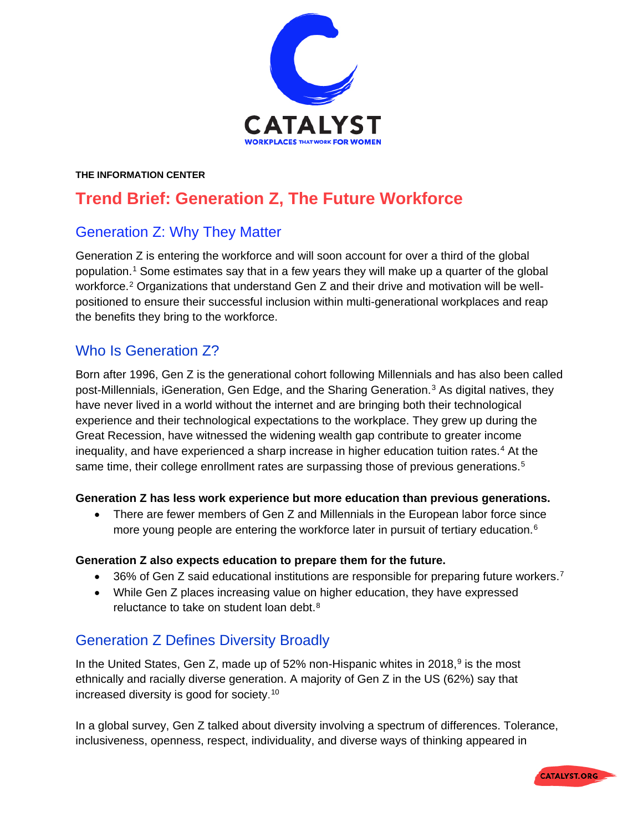

#### **THE INFORMATION CENTER**

# **Trend Brief: Generation Z, The Future Workforce**

### Generation Z: Why They Matter

Generation Z is entering the workforce and will soon account for over a third of the global population.[1](#page-3-0) Some estimates say that in a few years they will make up a quarter of the global workforce.[2](#page-3-1) Organizations that understand Gen Z and their drive and motivation will be wellpositioned to ensure their successful inclusion within multi-generational workplaces and reap the benefits they bring to the workforce.

## Who Is Generation Z?

Born after 1996, Gen Z is the generational cohort following Millennials and has also been called post-Millennials, iGeneration, Gen Edge, and the Sharing Generation.[3](#page-3-2) As digital natives, they have never lived in a world without the internet and are bringing both their technological experience and their technological expectations to the workplace. They grew up during the Great Recession, have witnessed the widening wealth gap contribute to greater income inequality, and have experienced a sharp increase in higher education tuition rates.[4](#page-3-3) At the same time, their college enrollment rates are surpassing those of previous generations.<sup>[5](#page-3-4)</sup>

#### **Generation Z has less work experience but more education than previous generations.**

• There are fewer members of Gen Z and Millennials in the European labor force since more young people are entering the workforce later in pursuit of tertiary education.<sup>[6](#page-3-5)</sup>

#### **Generation Z also expects education to prepare them for the future.**

- 36% of Gen Z said educational institutions are responsible for preparing future workers.<sup>[7](#page-3-6)</sup>
- While Gen Z places increasing value on higher education, they have expressed reluctance to take on student loan debt.<sup>[8](#page-3-7)</sup>

### Generation Z Defines Diversity Broadly

In the United States, Gen Z, made up of 52% non-Hispanic whites in 2018, $9$  is the most ethnically and racially diverse generation. A majority of Gen Z in the US (62%) say that increased diversity is good for society. [10](#page-3-9)

In a global survey, Gen Z talked about diversity involving a spectrum of differences. Tolerance, inclusiveness, openness, respect, individuality, and diverse ways of thinking appeared in

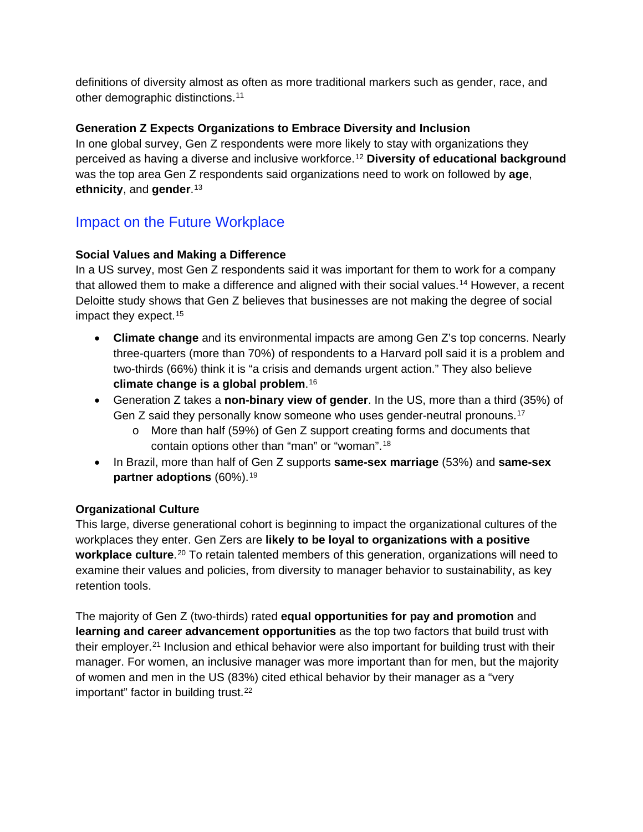definitions of diversity almost as often as more traditional markers such as gender, race, and other demographic distinctions.[11](#page-3-10)

### **Generation Z Expects Organizations to Embrace Diversity and Inclusion**

In one global survey, Gen Z respondents were more likely to stay with organizations they perceived as having a diverse and inclusive workforce.[12](#page-3-11) **Diversity of educational background** was the top area Gen Z respondents said organizations need to work on followed by **age**, **ethnicity**, and **gender**.[13](#page-3-12)

# Impact on the Future Workplace

### **Social Values and Making a Difference**

In a US survey, most Gen Z respondents said it was important for them to work for a company that allowed them to make a difference and aligned with their social values.[14](#page-3-13) However, a recent Deloitte study shows that Gen Z believes that businesses are not making the degree of social impact they expect.[15](#page-3-14)

- **Climate change** and its environmental impacts are among Gen Z's top concerns. Nearly three-quarters (more than 70%) of respondents to a Harvard poll said it is a problem and two-thirds (66%) think it is "a crisis and demands urgent action." They also believe **climate change is a global problem**.[16](#page-3-15)
- Generation Z takes a **non-binary view of gender**. In the US, more than a third (35%) of Gen Z said they personally know someone who uses gender-neutral pronouns.<sup>[17](#page-3-16)</sup>
	- o More than half (59%) of Gen Z support creating forms and documents that contain options other than "man" or "woman".[18](#page-3-17)
- In Brazil, more than half of Gen Z supports **same-sex marriage** (53%) and **same-sex partner adoptions** (60%).[19](#page-3-18)

### **Organizational Culture**

This large, diverse generational cohort is beginning to impact the organizational cultures of the workplaces they enter. Gen Zers are **likely to be loyal to organizations with a positive workplace culture**.<sup>[20](#page-3-19)</sup> To retain talented members of this generation, organizations will need to examine their values and policies, from diversity to manager behavior to sustainability, as key retention tools.

The majority of Gen Z (two-thirds) rated **equal opportunities for pay and promotion** and **learning and career advancement opportunities** as the top two factors that build trust with their employer.[21](#page-3-20) Inclusion and ethical behavior were also important for building trust with their manager. For women, an inclusive manager was more important than for men, but the majority of women and men in the US (83%) cited ethical behavior by their manager as a "very important" factor in building trust.<sup>[22](#page-3-21)</sup>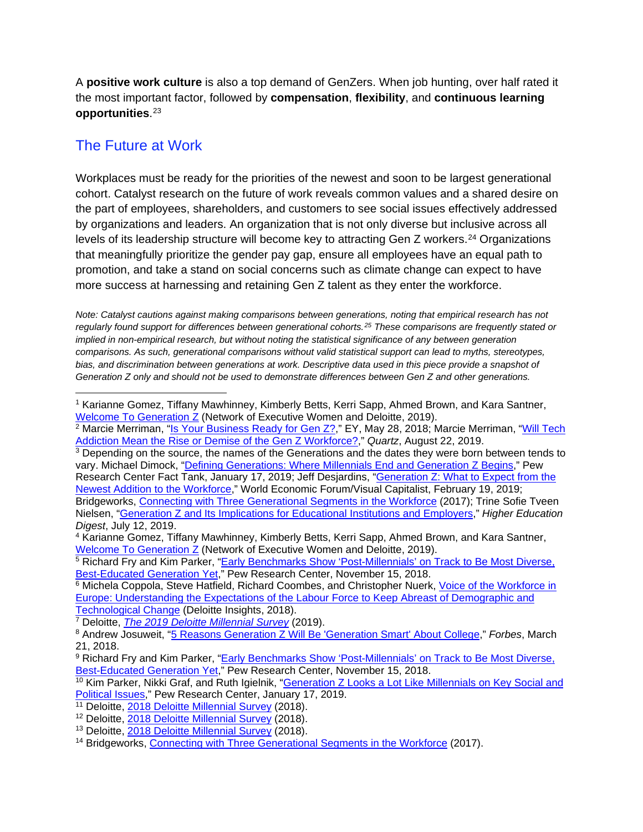A **positive work culture** is also a top demand of GenZers. When job hunting, over half rated it the most important factor, followed by **compensation**, **flexibility**, and **continuous learning opportunities**.[23](#page-3-22)

# The Future at Work

Workplaces must be ready for the priorities of the newest and soon to be largest generational cohort. Catalyst research on the future of work reveals common values and a shared desire on the part of employees, shareholders, and customers to see social issues effectively addressed by organizations and leaders. An organization that is not only diverse but inclusive across all levels of its leadership structure will become key to attracting Gen Z workers.<sup>[24](#page-3-23)</sup> Organizations that meaningfully prioritize the gender pay gap, ensure all employees have an equal path to promotion, and take a stand on social concerns such as climate change can expect to have more success at harnessing and retaining Gen Z talent as they enter the workforce.

*Note: Catalyst cautions against making comparisons between generations, noting that empirical research has not regularly found support for differences between generational cohorts.[25](#page-3-24) These comparisons are frequently stated or implied in non-empirical research, but without noting the statistical significance of any between generation comparisons. As such, generational comparisons without valid statistical support can lead to myths, stereotypes, bias, and discrimination between generations at work. Descriptive data used in this piece provide a snapshot of Generation Z only and should not be used to demonstrate differences between Gen Z and other generations.*

<sup>5</sup> Richard Fry and Kim Parker, ["Early Benchmarks Show 'Post-Millennials' on Track to Be Most Diverse,](https://www.pewsocialtrends.org/2018/11/15/early-benchmarks-show-post-millennials-on-track-to-be-most-diverse-best-educated-generation-yet/)  [Best-Educated Generation Yet,](https://www.pewsocialtrends.org/2018/11/15/early-benchmarks-show-post-millennials-on-track-to-be-most-diverse-best-educated-generation-yet/)" Pew Research Center, November 15, 2018.

<sup>1</sup> Karianne Gomez, Tiffany Mawhinney, Kimberly Betts, Kerri Sapp, Ahmed Brown, and Kara Santner, [Welcome To Generation Z](https://www2.deloitte.com/us/en/pages/consumer-business/articles/understanding-generation-z-in-the-workplace.html) (Network of Executive Women and Deloitte, 2019).

<sup>&</sup>lt;sup>2</sup> Marcie Merriman, ["Is Your Business Ready for Gen Z?,](https://www.ey.com/en_gl/digital/generation-z-millennial)" EY, May 28, 2018; Marcie Merriman, "Will Tech [Addiction Mean the Rise or Demise of the Gen Z Workforce?,](https://qz.com/work/1691633/will-tech-addiction-mean-the-rise-or-demise-of-gen-z/)" *Quartz*, August 22, 2019.

<sup>&</sup>lt;sup>3</sup> Depending on the source, the names of the Generations and the dates they were born between tends to vary. Michael Dimock, ["Defining Generations: Where Millennials End and Generation Z Begins,](https://www.pewresearch.org/fact-tank/2019/01/17/where-millennials-end-and-generation-z-begins/)" Pew Research Center Fact Tank, January 17, 2019; Jeff Desjardins, ["Generation Z: What to Expect from the](https://www.weforum.org/agenda/2019/02/meet-generation-z-the-newest-member-to-the-workforce/)  [Newest Addition to the Workforce,](https://www.weforum.org/agenda/2019/02/meet-generation-z-the-newest-member-to-the-workforce/)" World Economic Forum/Visual Capitalist, February 19, 2019; Bridgeworks, [Connecting with Three Generational Segments in the Workforce](http://www.generations.com/gen-edge-report/) (2017); Trine Sofie Tveen Nielsen, ["Generation Z and Its Implications for Educational Institutions and Employers,](https://www.highereducationdigest.com/generation-z-and-its-implications-for-educational-institutions-and-employers/)" *Higher Education Digest*, July 12, 2019.

<sup>4</sup> Karianne Gomez, Tiffany Mawhinney, Kimberly Betts, Kerri Sapp, Ahmed Brown, and Kara Santner, [Welcome To Generation Z](https://www2.deloitte.com/us/en/pages/consumer-business/articles/understanding-generation-z-in-the-workplace.html) (Network of Executive Women and Deloitte, 2019).

<sup>6</sup> Michela Coppola, Steve Hatfield, Richard Coombes, and Christopher Nuerk, [Voice of the Workforce in](https://www2.deloitte.com/us/en/insights/focus/technology-and-the-future-of-work/voice-of-workforce-europe-survey.html)  [Europe: Understanding the Expectations of the Labour Force to Keep Abreast of Demographic and](https://www2.deloitte.com/us/en/insights/focus/technology-and-the-future-of-work/voice-of-workforce-europe-survey.html)  [Technological Change](https://www2.deloitte.com/us/en/insights/focus/technology-and-the-future-of-work/voice-of-workforce-europe-survey.html) (Deloitte Insights, 2018).

<sup>7</sup> Deloitte, *[The 2019 Deloitte Millennial Survey](https://www2.deloitte.com/global/en/pages/about-deloitte/articles/millennialsurvey.html)* (2019).

<sup>8</sup> Andrew Josuweit, ["5 Reasons Generation Z Will Be 'Generation Smart' About College,](https://www.forbes.com/sites/andrewjosuweit/2018/03/21/5-reasons-generation-z-will-be-generation-smart-about-college/#2b925e1e7888)" *Forbes*, March 21, 2018.

<sup>9</sup> Richard Fry and Kim Parker, "Early Benchmarks Show 'Post-Millennials' on Track to Be Most Diverse, [Best-Educated Generation Yet,](https://www.pewsocialtrends.org/2018/11/15/early-benchmarks-show-post-millennials-on-track-to-be-most-diverse-best-educated-generation-yet/)" Pew Research Center, November 15, 2018.

<sup>&</sup>lt;sup>10</sup> Kim Parker, Nikki Graf, and Ruth Igielnik, "Generation Z Looks a Lot Like Millennials on Key Social and [Political Issues,](https://www.pewsocialtrends.org/2019/01/17/generation-z-looks-a-lot-like-millennials-on-key-social-and-political-issues/)" Pew Research Center, January 17, 2019.

<sup>&</sup>lt;sup>11</sup> Deloitte, [2018 Deloitte Millennial Survey](https://www2.deloitte.com/tr/en/pages/about-deloitte/articles/millennialsurvey-2018.html) (2018).

<sup>12</sup> Deloitte, [2018 Deloitte Millennial Survey](https://www2.deloitte.com/tr/en/pages/about-deloitte/articles/millennialsurvey-2018.html) (2018).

<sup>&</sup>lt;sup>13</sup> Deloitte, 2018 Deloitte [Millennial Survey](https://www2.deloitte.com/tr/en/pages/about-deloitte/articles/millennialsurvey-2018.html) (2018).

<sup>14</sup> Bridgeworks, [Connecting with Three Generational Segments in the Workforce](http://www.generations.com/gen-edge-report/) (2017).